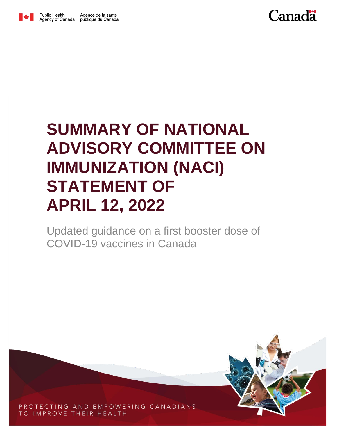

## **SUMMARY OF NATIONAL ADVISORY COMMITTEE ON IMMUNIZATION (NACI) STATEMENT OF APRIL 12, 2022**

Updated guidance on a first booster dose of COVID-19 vaccines in Canada



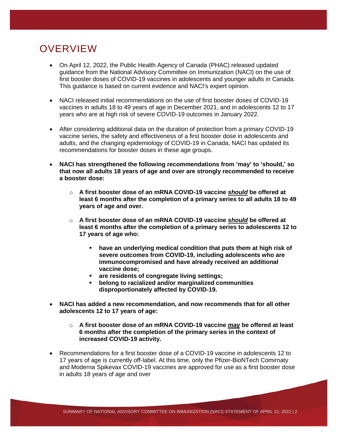## **OVERVIEW**

- On April 12, 2022, the Public Health Agency of Canada (PHAC) released updated guidance from the National Advisory Committee on Immunization (NACI) on the use of first booster doses of COVID-19 vaccines in adolescents and younger adults in Canada. This guidance is based on current evidence and NACI's expert opinion.
- NACI released initial recommendations on the use of first booster doses of COVID-19 vaccines in adults 18 to 49 years of age in December 2021, and in adolescents 12 to 17 years who are at high risk of severe COVID-19 outcomes in January 2022.
- After considering additional data on the duration of protection from a primary COVID-19 vaccine series, the safety and effectiveness of a first booster dose in adolescents and adults, and the changing epidemiology of COVID-19 in Canada, NACI has updated its recommendations for booster doses in these age groups.
- **NACI has strengthened the following recommendations from 'may' to 'should,' so that now all adults 18 years of age and over are strongly recommended to receive a booster dose:**
	- o **A first booster dose of an mRNA COVID-19 vaccine** *should* **be offered at least 6 months after the completion of a primary series to all adults 18 to 49 years of age and over.**
	- o **A first booster dose of an mRNA COVID-19 vaccine** *should* **be offered at least 6 months after the completion of a primary series to adolescents 12 to 17 years of age who:**
		- **have an underlying medical condition that puts them at high risk of severe outcomes from COVID-19, including adolescents who are immunocompromised and have already received an additional vaccine dose;**
		- **are residents of congregate living settings;**
		- **belong to racialized and/or marginalized communities disproportionately affected by COVID-19.**
- **NACI has added a new recommendation, and now recommends that for all other adolescents 12 to 17 years of age:**
	- o **A first booster dose of an mRNA COVID-19 vaccine** *may* **be offered at least 6 months after the completion of the primary series in the context of increased COVID-19 activity.**
- Recommendations for a first booster dose of a COVID-19 vaccine in adolescents 12 to 17 years of age is currently off-label. At this time, only the Pfizer-BioNTech Comirnaty and Moderna Spikevax COVID-19 vaccines are approved for use as a first booster dose in adults 18 years of age and over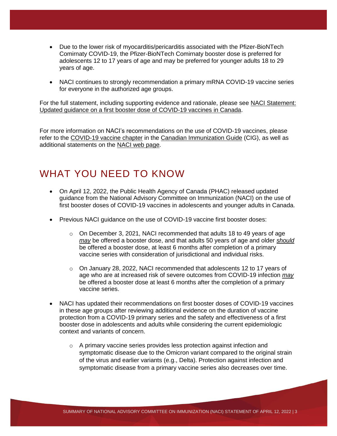- Due to the lower risk of myocarditis/pericarditis associated with the Pfizer-BioNTech Comirnaty COVID-19, the Pfizer-BioNTech Comirnaty booster dose is preferred for adolescents 12 to 17 years of age and may be preferred for younger adults 18 to 29 years of age.
- NACI continues to strongly recommendation a primary mRNA COVID-19 vaccine series for everyone in the authorized age groups.

For the full statement, including supporting evidence and rationale, please see [NACI Statement:](https://www.canada.ca/en/public-health/services/immunization/national-advisory-committee-on-immunization-naci.html)  [Updated guidance on a first booster dose of COVID-19 vaccines in Canada.](https://www.canada.ca/en/public-health/services/immunization/national-advisory-committee-on-immunization-naci.html)

For more information on NACI's recommendations on the use of COVID-19 vaccines, please refer to the [COVID-19 vaccine](https://www.canada.ca/en/public-health/services/publications/healthy-living/canadian-immunization-guide-part-4-active-vaccines/page-26-covid-19-vaccine.html) chapter in the [Canadian Immunization Guide](https://www.canada.ca/en/public-health/services/canadian-immunization-guide.html) (CIG), as well as additional statements on the [NACI web](https://www.canada.ca/en/public-health/services/immunization/national-advisory-committee-on-immunization-naci.html) page.

## WHAT YOU NEED TO KNOW

- On April 12, 2022, the Public Health Agency of Canada (PHAC) released updated guidance from the National Advisory Committee on Immunization (NACI) on the use of first booster doses of COVID-19 vaccines in adolescents and younger adults in Canada.
- Previous NACI guidance on the use of COVID-19 vaccine first booster doses:
	- o On December 3, 2021, NACI recommended that adults 18 to 49 years of age *may* be offered a booster dose, and that adults 50 years of age and older *should*  be offered a booster dose, at least 6 months after completion of a primary vaccine series with consideration of jurisdictional and individual risks.
	- $\circ$  On January 28, 2022, NACI recommended that adolescents 12 to 17 years of age who are at increased risk of severe outcomes from COVID-19 infection *may* be offered a booster dose at least 6 months after the completion of a primary vaccine series.
- NACI has updated their recommendations on first booster doses of COVID-19 vaccines in these age groups after reviewing additional evidence on the duration of vaccine protection from a COVID-19 primary series and the safety and effectiveness of a first booster dose in adolescents and adults while considering the current epidemiologic context and variants of concern.
	- o A primary vaccine series provides less protection against infection and symptomatic disease due to the Omicron variant compared to the original strain of the virus and earlier variants (e.g., Delta). Protection against infection and symptomatic disease from a primary vaccine series also decreases over time.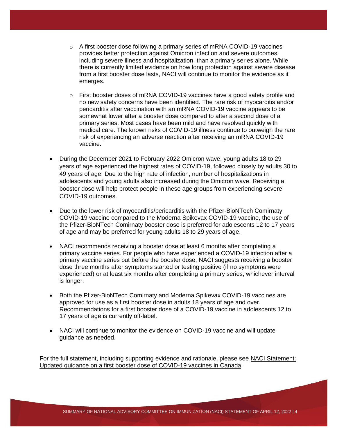- $\circ$  A first booster dose following a primary series of mRNA COVID-19 vaccines provides better protection against Omicron infection and severe outcomes, including severe illness and hospitalization, than a primary series alone. While there is currently limited evidence on how long protection against severe disease from a first booster dose lasts, NACI will continue to monitor the evidence as it emerges.
- $\circ$  First booster doses of mRNA COVID-19 vaccines have a good safety profile and no new safety concerns have been identified. The rare risk of myocarditis and/or pericarditis after vaccination with an mRNA COVID-19 vaccine appears to be somewhat lower after a booster dose compared to after a second dose of a primary series. Most cases have been mild and have resolved quickly with medical care. The known risks of COVID-19 illness continue to outweigh the rare risk of experiencing an adverse reaction after receiving an mRNA COVID-19 vaccine.
- During the December 2021 to February 2022 Omicron wave, young adults 18 to 29 years of age experienced the highest rates of COVID-19, followed closely by adults 30 to 49 years of age. Due to the high rate of infection, number of hospitalizations in adolescents and young adults also increased during the Omicron wave. Receiving a booster dose will help protect people in these age groups from experiencing severe COVID-19 outcomes.
- Due to the lower risk of myocarditis/pericarditis with the Pfizer-BioNTech Comirnaty COVID-19 vaccine compared to the Moderna Spikevax COVID-19 vaccine, the use of the Pfizer-BioNTech Comirnaty booster dose is preferred for adolescents 12 to 17 years of age and may be preferred for young adults 18 to 29 years of age.
- NACI recommends receiving a booster dose at least 6 months after completing a primary vaccine series. For people who have experienced a COVID-19 infection after a primary vaccine series but before the booster dose, NACI suggests receiving a booster dose three months after symptoms started or testing positive (if no symptoms were experienced) or at least six months after completing a primary series, whichever interval is longer.
- Both the Pfizer-BioNTech Comirnaty and Moderna Spikevax COVID-19 vaccines are approved for use as a first booster dose in adults 18 years of age and over. Recommendations for a first booster dose of a COVID-19 vaccine in adolescents 12 to 17 years of age is currently off-label.
- NACI will continue to monitor the evidence on COVID-19 vaccine and will update guidance as needed.

For the full statement, including supporting evidence and rationale, please see [NACI Statement:](https://www.canada.ca/en/public-health/services/immunization/national-advisory-committee-on-immunization-naci.html)  [Updated guidance on a first booster dose of COVID-19 vaccines in Canada.](https://www.canada.ca/en/public-health/services/immunization/national-advisory-committee-on-immunization-naci.html)